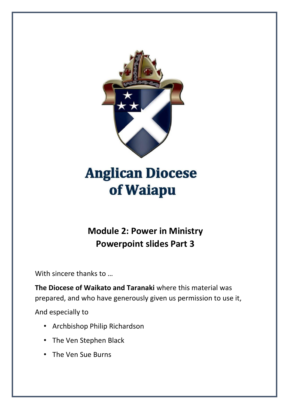

# **Anglican Diocese** of Waiapu

## **Module 2: Power in Ministry Powerpoint slides Part 3**

With sincere thanks to …

**The Diocese of Waikato and Taranaki** where this material was prepared, and who have generously given us permission to use it,

And especially to

- Archbishop Philip Richardson
- The Ven Stephen Black
- The Ven Sue Burns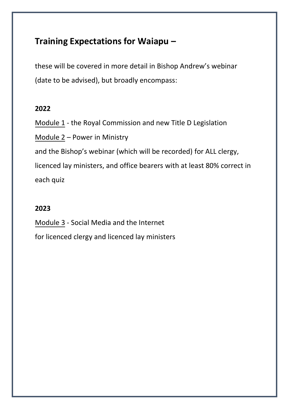## **Training Expectations for Waiapu –**

these will be covered in more detail in Bishop Andrew's webinar (date to be advised), but broadly encompass:

#### **2022**

Module 1 - the Royal Commission and new Title D Legislation Module 2 – Power in Ministry and the Bishop's webinar (which will be recorded) for ALL clergy, licenced lay ministers, and office bearers with at least 80% correct in each quiz

### **2023**

Module 3 - Social Media and the Internet for licenced clergy and licenced lay ministers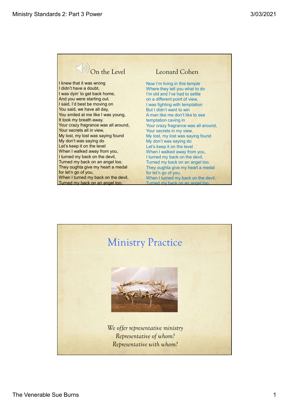

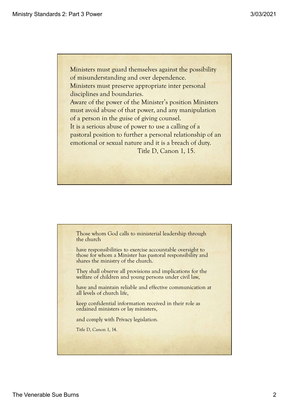Ministers must guard themselves against the possibility of misunderstanding and over dependence. Ministers must preserve appropriate inter personal disciplines and boundaries. Aware of the power of the Minister's position Ministers must avoid abuse of that power, and any manipulation of a person in the guise of giving counsel. It is a serious abuse of power to use a calling of a pastoral position to further a personal relationship of an emotional or sexual nature and it is a breach of duty. Title D, Canon 1, 15.

Those whom God calls to ministerial leadership through the church

have responsibilities to exercise accountable oversight to those for whom a Minister has pastoral responsibility and shares the ministry of the church.

They shall observe all provisions and implications for the welfare of children and young persons under civil law,

They shall observe all provisions and implications for the<br>welfare of children and young persons under civil law,<br>have and maintain reliable and effective communication at<br>all levels of church life,<br>leep confidential infor have and maintain reliable and effective communication at all levels of church life,

keep confidential information received in their role as ordained ministers or lay ministers,

and comply with Privacy legislation.

Title D, Canon 1, 14.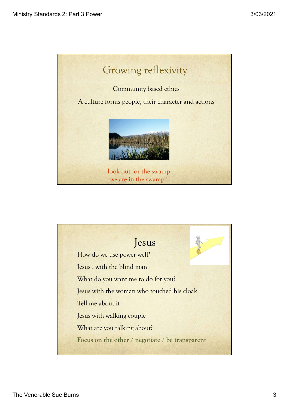

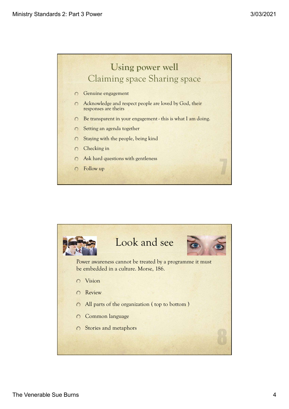

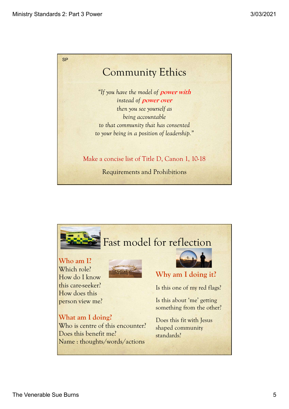

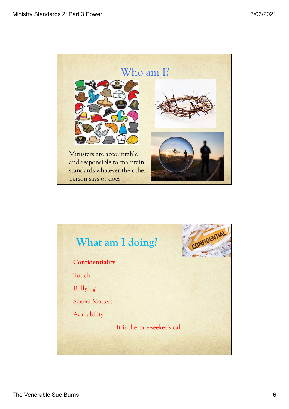

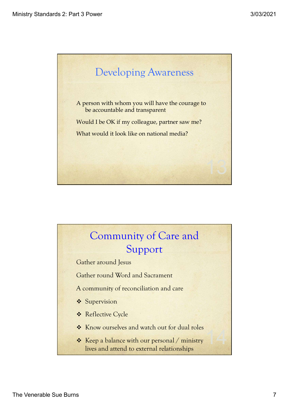